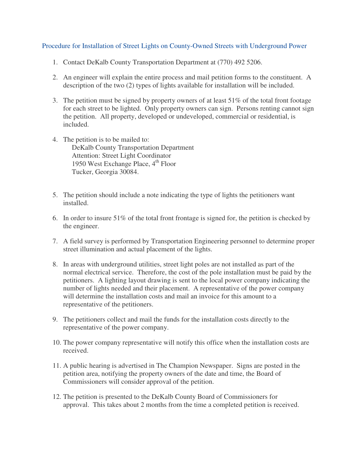## Procedure for Installation of Street Lights on County-Owned Streets with Underground Power

- 1. Contact DeKalb County Transportation Department at (770) 492 5206.
- 2. An engineer will explain the entire process and mail petition forms to the constituent. A description of the two (2) types of lights available for installation will be included.
- 3. The petition must be signed by property owners of at least 51% of the total front footage for each street to be lighted. Only property owners can sign. Persons renting cannot sign the petition. All property, developed or undeveloped, commercial or residential, is included.
- 4. The petition is to be mailed to: DeKalb County Transportation Department Attention: Street Light Coordinator 1950 West Exchange Place,  $4<sup>th</sup>$  Floor Tucker, Georgia 30084.
- 5. The petition should include a note indicating the type of lights the petitioners want installed.
- 6. In order to insure 51% of the total front frontage is signed for, the petition is checked by the engineer.
- 7. A field survey is performed by Transportation Engineering personnel to determine proper street illumination and actual placement of the lights.
- 8. In areas with underground utilities, street light poles are not installed as part of the normal electrical service. Therefore, the cost of the pole installation must be paid by the petitioners. A lighting layout drawing is sent to the local power company indicating the number of lights needed and their placement. A representative of the power company will determine the installation costs and mail an invoice for this amount to a representative of the petitioners.
- 9. The petitioners collect and mail the funds for the installation costs directly to the representative of the power company.
- 10. The power company representative will notify this office when the installation costs are received.
- 11. A public hearing is advertised in The Champion Newspaper. Signs are posted in the petition area, notifying the property owners of the date and time, the Board of Commissioners will consider approval of the petition.
- 12. The petition is presented to the DeKalb County Board of Commissioners for approval. This takes about 2 months from the time a completed petition is received.